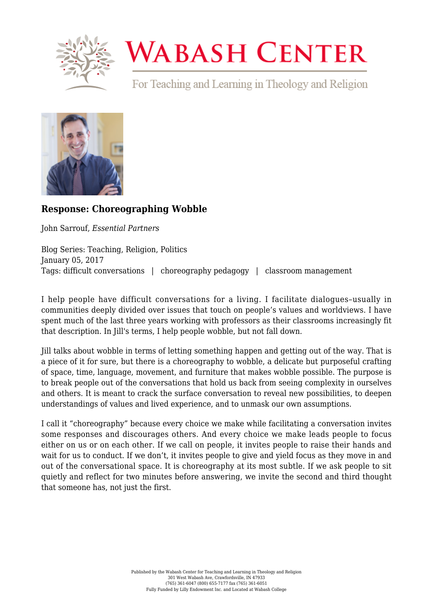

## **WABASH CENTER**

For Teaching and Learning in Theology and Religion



## **[Response: Choreographing Wobble](https://www.wabashcenter.wabash.edu/2017/01/response-choreographing-wobble/)**

John Sarrouf, *Essential Partners*

Blog Series: Teaching, Religion, Politics January 05, 2017 Tags: difficult conversations | choreography pedagogy | classroom management

I help people have difficult conversations for a living. I facilitate dialogues–usually in communities deeply divided over issues that touch on people's values and worldviews. I have spent much of the last three years working with professors as their classrooms increasingly fit that description. In Jill's terms, I help people wobble, but not fall down.

Jill talks about wobble in terms of letting something happen and getting out of the way. That is a piece of it for sure, but there is a choreography to wobble, a delicate but purposeful crafting of space, time, language, movement, and furniture that makes wobble possible. The purpose is to break people out of the conversations that hold us back from seeing complexity in ourselves and others. It is meant to crack the surface conversation to reveal new possibilities, to deepen understandings of values and lived experience, and to unmask our own assumptions.

I call it "choreography" because every choice we make while facilitating a conversation invites some responses and discourages others. And every choice we make leads people to focus either on us or on each other. If we call on people, it invites people to raise their hands and wait for us to conduct. If we don't, it invites people to give and yield focus as they move in and out of the conversational space. It is choreography at its most subtle. If we ask people to sit quietly and reflect for two minutes before answering, we invite the second and third thought that someone has, not just the first.